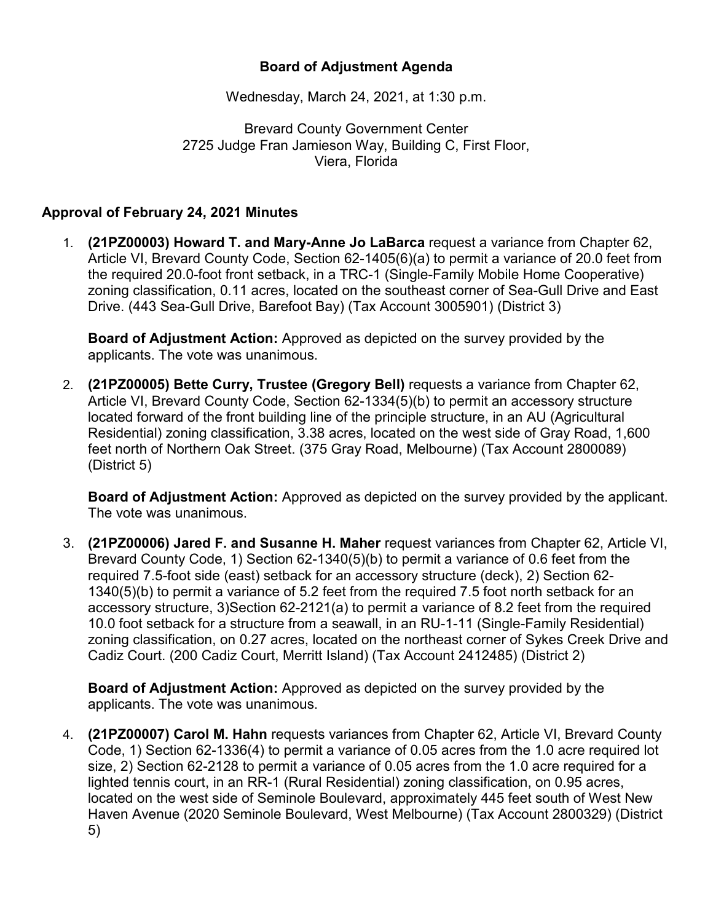## **Board of Adjustment Agenda**

Wednesday, March 24, 2021, at 1:30 p.m.

Brevard County Government Center 2725 Judge Fran Jamieson Way, Building C, First Floor, Viera, Florida

## **Approval of February 24, 2021 Minutes**

1. **(21PZ00003) Howard T. and Mary-Anne Jo LaBarca** request a variance from Chapter 62, Article VI, Brevard County Code, Section 62-1405(6)(a) to permit a variance of 20.0 feet from the required 20.0-foot front setback, in a TRC-1 (Single-Family Mobile Home Cooperative) zoning classification, 0.11 acres, located on the southeast corner of Sea-Gull Drive and East Drive. (443 Sea-Gull Drive, Barefoot Bay) (Tax Account 3005901) (District 3)

**Board of Adjustment Action:** Approved as depicted on the survey provided by the applicants. The vote was unanimous.

2. **(21PZ00005) Bette Curry, Trustee (Gregory Bell)** requests a variance from Chapter 62, Article VI, Brevard County Code, Section 62-1334(5)(b) to permit an accessory structure located forward of the front building line of the principle structure, in an AU (Agricultural Residential) zoning classification, 3.38 acres, located on the west side of Gray Road, 1,600 feet north of Northern Oak Street. (375 Gray Road, Melbourne) (Tax Account 2800089) (District 5)

**Board of Adjustment Action:** Approved as depicted on the survey provided by the applicant. The vote was unanimous.

3. **(21PZ00006) Jared F. and Susanne H. Maher** request variances from Chapter 62, Article VI, Brevard County Code, 1) Section 62-1340(5)(b) to permit a variance of 0.6 feet from the required 7.5-foot side (east) setback for an accessory structure (deck), 2) Section 62- 1340(5)(b) to permit a variance of 5.2 feet from the required 7.5 foot north setback for an accessory structure, 3)Section 62-2121(a) to permit a variance of 8.2 feet from the required 10.0 foot setback for a structure from a seawall, in an RU-1-11 (Single-Family Residential) zoning classification, on 0.27 acres, located on the northeast corner of Sykes Creek Drive and Cadiz Court. (200 Cadiz Court, Merritt Island) (Tax Account 2412485) (District 2)

**Board of Adjustment Action:** Approved as depicted on the survey provided by the applicants. The vote was unanimous.

4. **(21PZ00007) Carol M. Hahn** requests variances from Chapter 62, Article VI, Brevard County Code, 1) Section 62-1336(4) to permit a variance of 0.05 acres from the 1.0 acre required lot size, 2) Section 62-2128 to permit a variance of 0.05 acres from the 1.0 acre required for a lighted tennis court, in an RR-1 (Rural Residential) zoning classification, on 0.95 acres, located on the west side of Seminole Boulevard, approximately 445 feet south of West New Haven Avenue (2020 Seminole Boulevard, West Melbourne) (Tax Account 2800329) (District 5)